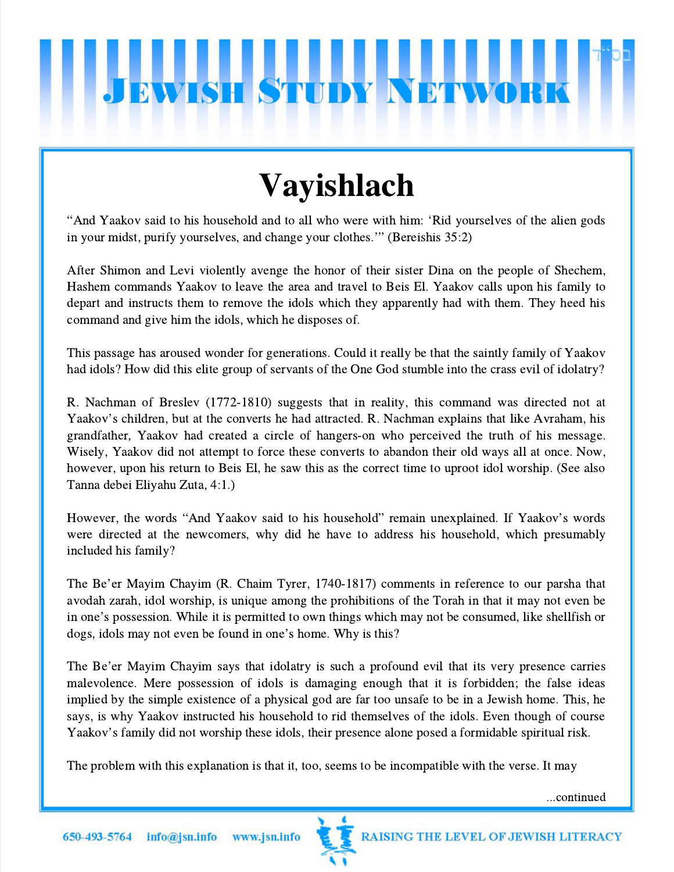## **EWISH STUDY**

## Vayishlach

"And Yaakov said to his household and to all who were with him: 'Rid yourselves of the alien gods in your midst, purify yourselves, and change your clothes.'" (Bereishis 35:2)

After Shimon and Levi violently avenge the honor of their sister Dina on the people of Shechem, Hashem commands Yaakov to leave the area and travel to Beis El. Yaakov calls upon his family to depart and instructs them to remove the idols which they apparently had with them. They heed his command and give him the idols, which he disposes of.

This passage has aroused wonder for generations. Could it really be that the saintly family of Yaakov had idols? How did this elite group of servants of the One God stumble into the crass evil of idolatry?

R. Nachman of Breslev (1772-1810) suggests that in reality, this command was directed not at R. Nachman of Breslev (1772-1810) suggests that in reality, this command was directed not at Yaakov's children, but at the converts he had attracted. R. Nachman explains that like Avraham, his grandfather, Yaakov had created a circle of hangers-on who perceived the truth of his message. Wisely, Yaakov did not attempt to force these converts to abandon their old ways all at once. Now, however, upon his return to Beis El, he saw this as the correct time to uproot idol worship. (See also Tanna debei Eliyahu Zuta, 4:1.)

However, the words "And Yaakov said to his household" remain unexplained. If Yaakov's words were directed at the newcomers, why did he have to address his household, which presumably included his family?

The Be'er Mayim Chayim (R. Chaim Tyrer, 1740-1817) comments in reference to our parsha that avodah zarah, idol worship, is unique among the prohibitions of the Torah in that it may not even be ince be er may in Chaylin (K. Chain Tyter, 1740-1617) comments in reference to our parsita that<br>avodah zarah, idol worship, is unique among the prohibitions of the Torah in that it may not even be<br>in one's possession. Whil in one's possession. While it is permitted to own things which may not be consumed, like shellfish or dogs, idols may not even be found in one's home. Why is this?

The Be'er Mayim Chayim says that idolatry is such a profound evil that its very presence carries malevolence. Mere possession of idols is damaging enough that it is forbidden; the false ideas implied by the simple existence of a physical god are far too unsafe to be in a Jewish home. This, he says, is why Yaakov instructed his household to rid themselves of the idols. Even though of course Implied by the simple existence of a physical god are far too unsafe to be in a fewfsh home. This,<br>says, is why Yaakov instructed his household to rid themselves of the idols. Even though of cour<br>Yaakov's family did not wo

The problem with this explanation is that it, too, seems to be incompatible with the verse. It may

...continued